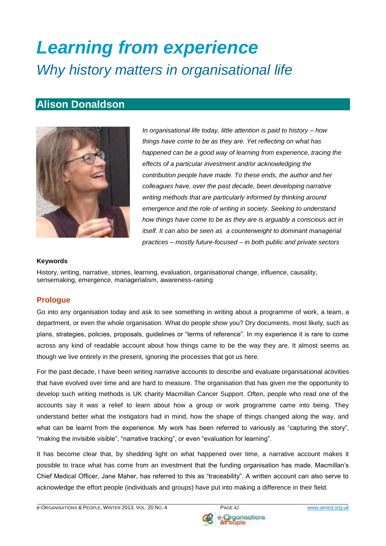# *Learning from experience Why history matters in organisational life*

## **Alison Donaldson**



*In organisational life today, little attention is paid to history – how things have come to be as they are. Yet reflecting on what has happened can be a good way of learning from experience, tracing the effects of a particular investment and/or acknowledging the contribution people have made. To these ends, the author and her colleagues have, over the past decade, been developing narrative writing methods that are particularly informed by thinking around emergence and the role of writing in society. Seeking to understand how things have come to be as they are is arguably a conscious act in itself. It can also be seen as a counterweight to dominant managerial practices – mostly future-focused – in both public and private sectors*

#### **Keywords**

History, writing, narrative, stories, learning, evaluation, organisational change, influence, causality, sensemaking, emergence, managerialism, awareness-raising

## **Prologue**

Go into any organisation today and ask to see something in writing about a programme of work, a team, a department, or even the whole organisation. What do people show you? Dry documents, most likely, such as plans, strategies, policies, proposals, guidelines or "terms of reference". In my experience it is rare to come across any kind of readable account about how things came to be the way they are. It almost seems as though we live entirely in the present, ignoring the processes that got us here.

For the past decade, I have been writing narrative accounts to describe and evaluate organisational activities that have evolved over time and are hard to measure. The organisation that has given me the opportunity to develop such writing methods is UK charity Macmillan Cancer Support. Often, people who read one of the accounts say it was a relief to learn about how a group or work programme came into being. They understand better what the instigators had in mind, how the shape of things changed along the way, and what can be learnt from the experience. My work has been referred to variously as "capturing the story", "making the invisible visible", "narrative tracking", or even "evaluation for learning".

It has become clear that, by shedding light on what happened over time, a narrative account makes it possible to trace what has come from an investment that the funding organisation has made. Macmillan's Chief Medical Officer, Jane Maher, has referred to this as "traceability". A written account can also serve to acknowledge the effort people (individuals and groups) have put into making a difference in their field.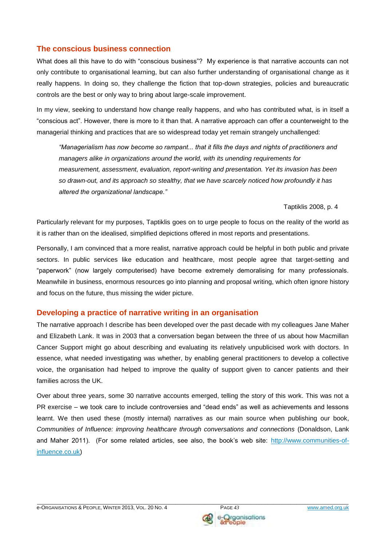## **The conscious business connection**

What does all this have to do with "conscious business"? My experience is that narrative accounts can not only contribute to organisational learning, but can also further understanding of organisational change as it really happens. In doing so, they challenge the fiction that top-down strategies, policies and bureaucratic controls are the best or only way to bring about large-scale improvement.

In my view, seeking to understand how change really happens, and who has contributed what, is in itself a "conscious act". However, there is more to it than that. A narrative approach can offer a counterweight to the managerial thinking and practices that are so widespread today yet remain strangely unchallenged:

*"Managerialism has now become so rampant... that it fills the days and nights of practitioners and managers alike in organizations around the world, with its unending requirements for measurement, assessment, evaluation, report-writing and presentation. Yet its invasion has been so drawn-out, and its approach so stealthy, that we have scarcely noticed how profoundly it has altered the organizational landscape."* 

Taptiklis 2008, p. 4

Particularly relevant for my purposes, Taptiklis goes on to urge people to focus on the reality of the world as it is rather than on the idealised, simplified depictions offered in most reports and presentations.

Personally, I am convinced that a more realist, narrative approach could be helpful in both public and private sectors. In public services like education and healthcare, most people agree that target-setting and "paperwork" (now largely computerised) have become extremely demoralising for many professionals. Meanwhile in business, enormous resources go into planning and proposal writing, which often ignore history and focus on the future, thus missing the wider picture.

## **Developing a practice of narrative writing in an organisation**

The narrative approach I describe has been developed over the past decade with my colleagues Jane Maher and Elizabeth Lank. It was in 2003 that a conversation began between the three of us about how Macmillan Cancer Support might go about describing and evaluating its relatively unpublicised work with doctors. In essence, what needed investigating was whether, by enabling general practitioners to develop a collective voice, the organisation had helped to improve the quality of support given to cancer patients and their families across the UK.

Over about three years, some 30 narrative accounts emerged, telling the story of this work. This was not a PR exercise – we took care to include controversies and "dead ends" as well as achievements and lessons learnt. We then used these (mostly internal) narratives as our main source when publishing our book, *Communities of Influence: improving healthcare through conversations and connections* (Donaldson, Lank and Maher 2011). (For some related articles, see also, the book's web site: [http://www.communities-of](http://www.communities-of-influence.co.uk/)[influence.co.uk\)](http://www.communities-of-influence.co.uk/)

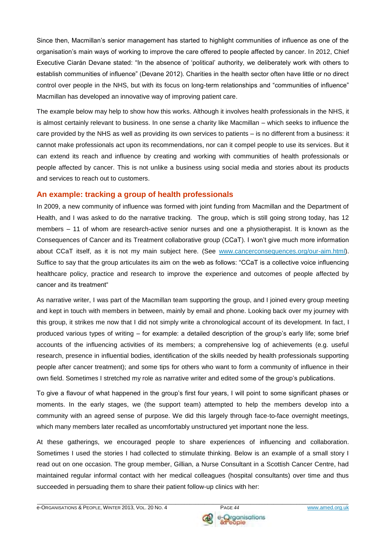Since then, Macmillan's senior management has started to highlight communities of influence as one of the organisation's main ways of working to improve the care offered to people affected by cancer. In 2012, Chief Executive Ciarán Devane stated: "In the absence of 'political' authority, we deliberately work with others to establish communities of influence" (Devane 2012). Charities in the health sector often have little or no direct control over people in the NHS, but with its focus on long-term relationships and "communities of influence" Macmillan has developed an innovative way of improving patient care.

The example below may help to show how this works. Although it involves health professionals in the NHS, it is almost certainly relevant to business. In one sense a charity like Macmillan – which seeks to influence the care provided by the NHS as well as providing its own services to patients – is no different from a business: it cannot make professionals act upon its recommendations, nor can it compel people to use its services. But it can extend its reach and influence by creating and working with communities of health professionals or people affected by cancer. This is not unlike a business using social media and stories about its products and services to reach out to customers.

## **An example: tracking a group of health professionals**

In 2009, a new community of influence was formed with joint funding from Macmillan and the Department of Health, and I was asked to do the narrative tracking. The group, which is still going strong today, has 12 members – 11 of whom are research-active senior nurses and one a physiotherapist. It is known as the Consequences of Cancer and its Treatment collaborative group (CCaT). I won't give much more information about CCaT itself, as it is not my main subject here. (See [www.cancerconsequences.org/our-aim.html\)](http://www.cancerconsequences.org/our-aim.html). Suffice to say that the group articulates its aim on the web as follows: "CCaT is a collective voice influencing healthcare policy, practice and research to improve the experience and outcomes of people affected by cancer and its treatment"

As narrative writer, I was part of the Macmillan team supporting the group, and I joined every group meeting and kept in touch with members in between, mainly by email and phone. Looking back over my journey with this group, it strikes me now that I did not simply write a chronological account of its development. In fact, I produced various types of writing – for example: a detailed description of the group's early life; some brief accounts of the influencing activities of its members; a comprehensive log of achievements (e.g. useful research, presence in influential bodies, identification of the skills needed by health professionals supporting people after cancer treatment); and some tips for others who want to form a community of influence in their own field. Sometimes I stretched my role as narrative writer and edited some of the group's publications.

To give a flavour of what happened in the group's first four years, I will point to some significant phases or moments. In the early stages, we (the support team) attempted to help the members develop into a community with an agreed sense of purpose. We did this largely through face-to-face overnight meetings, which many members later recalled as uncomfortably unstructured yet important none the less.

At these gatherings, we encouraged people to share experiences of influencing and collaboration. Sometimes I used the stories I had collected to stimulate thinking. Below is an example of a small story I read out on one occasion. The group member, Gillian, a Nurse Consultant in a Scottish Cancer Centre, had maintained regular informal contact with her medical colleagues (hospital consultants) over time and thus succeeded in persuading them to share their patient follow-up clinics with her:

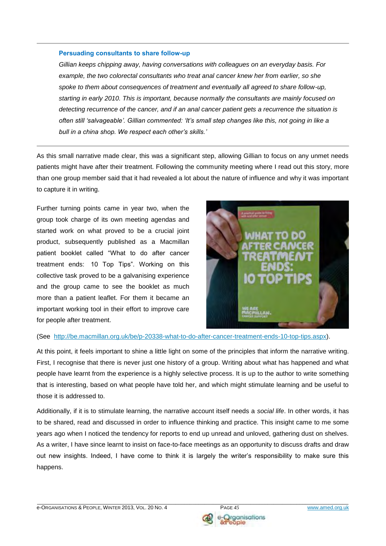#### **Persuading consultants to share follow-up**

*Gillian keeps chipping away, having conversations with colleagues on an everyday basis. For example, the two colorectal consultants who treat anal cancer knew her from earlier, so she spoke to them about consequences of treatment and eventually all agreed to share follow-up, starting in early 2010. This is important, because normally the consultants are mainly focused on detecting recurrence of the cancer, and if an anal cancer patient gets a recurrence the situation is often still 'salvageable'. Gillian commented: 'It's small step changes like this, not going in like a bull in a china shop. We respect each other's skills.'* 

As this small narrative made clear, this was a significant step, allowing Gillian to focus on any unmet needs patients might have after their treatment. Following the community meeting where I read out this story, more than one group member said that it had revealed a lot about the nature of influence and why it was important to capture it in writing.

Further turning points came in year two, when the group took charge of its own meeting agendas and started work on what proved to be a crucial joint product, subsequently published as a Macmillan patient booklet called "What to do after cancer treatment ends: 10 Top Tips". Working on this collective task proved to be a galvanising experience and the group came to see the booklet as much more than a patient leaflet. For them it became an important working tool in their effort to improve care for people after treatment.



#### (See [http://be.macmillan.org.uk/be/p-20338-what-to-do-after-cancer-treatment-ends-10-top-tips.aspx\)](http://be.macmillan.org.uk/be/p-20338-what-to-do-after-cancer-treatment-ends-10-top-tips.aspx).

At this point, it feels important to shine a little light on some of the principles that inform the narrative writing. First, I recognise that there is never just one history of a group. Writing about what has happened and what people have learnt from the experience is a highly selective process. It is up to the author to write something that is interesting, based on what people have told her, and which might stimulate learning and be useful to those it is addressed to.

Additionally, if it is to stimulate learning, the narrative account itself needs a *social life*. In other words, it has to be shared, read and discussed in order to influence thinking and practice. This insight came to me some years ago when I noticed the tendency for reports to end up unread and unloved, gathering dust on shelves. As a writer, I have since learnt to insist on face-to-face meetings as an opportunity to discuss drafts and draw out new insights. Indeed, I have come to think it is largely the writer's responsibility to make sure this happens.

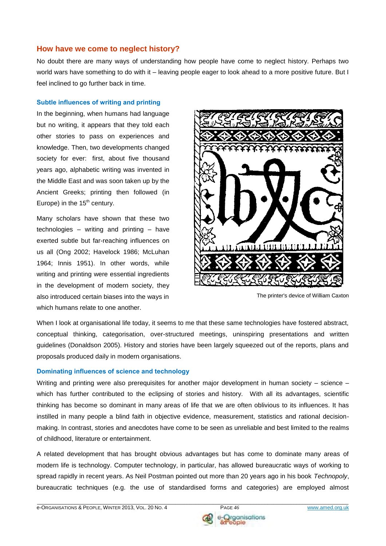## **How have we come to neglect history?**

No doubt there are many ways of understanding how people have come to neglect history. Perhaps two world wars have something to do with it – leaving people eager to look ahead to a more positive future. But I feel inclined to go further back in time.

#### **Subtle influences of writing and printing**

In the beginning, when humans had language but no writing, it appears that they told each other stories to pass on experiences and knowledge. Then, two developments changed society for ever: first, about five thousand years ago, alphabetic writing was invented in the Middle East and was soon taken up by the Ancient Greeks; printing then followed (in Europe) in the  $15<sup>th</sup>$  century.

Many scholars have shown that these two technologies – writing and printing – have exerted subtle but far-reaching influences on us all (Ong 2002; Havelock 1986; McLuhan 1964; Innis 1951). In other words, while writing and printing were essential ingredients in the development of modern society, they also introduced certain biases into the ways in The printer's device of William Caxton which humans relate to one another.



When I look at organisational life today, it seems to me that these same technologies have fostered abstract, conceptual thinking, categorisation, over-structured meetings, uninspiring presentations and written guidelines (Donaldson 2005). History and stories have been largely squeezed out of the reports, plans and proposals produced daily in modern organisations.

#### **Dominating influences of science and technology**

Writing and printing were also prerequisites for another major development in human society – science – which has further contributed to the eclipsing of stories and history. With all its advantages, scientific thinking has become so dominant in many areas of life that we are often oblivious to its influences. It has instilled in many people a blind faith in objective evidence, measurement, statistics and rational decisionmaking. In contrast, stories and anecdotes have come to be seen as unreliable and best limited to the realms of childhood, literature or entertainment.

A related development that has brought obvious advantages but has come to dominate many areas of modern life is technology. Computer technology, in particular, has allowed bureaucratic ways of working to spread rapidly in recent years. As Neil Postman pointed out more than 20 years ago in his book *Technopoly*, bureaucratic techniques (e.g. the use of standardised forms and categories) are employed almost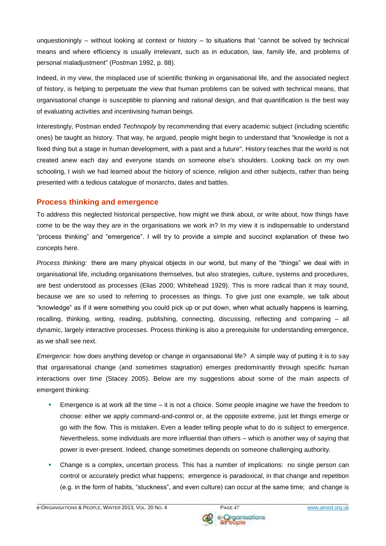unquestioningly – without looking at context or history – to situations that "cannot be solved by technical means and where efficiency is usually irrelevant, such as in education, law, family life, and problems of personal maladjustment" (Postman 1992, p. 88).

Indeed, in my view, the misplaced use of scientific thinking in organisational life, and the associated neglect of history, is helping to perpetuate the view that human problems can be solved with technical means, that organisational change is susceptible to planning and rational design, and that quantification is the best way of evaluating activities and incentivising human beings.

Interestingly, Postman ended *Technopoly* by recommending that every academic subject (including scientific ones) be taught as history. That way, he argued, people might begin to understand that "knowledge is not a fixed thing but a stage in human development, with a past and a future". History teaches that the world is not created anew each day and everyone stands on someone else's shoulders. Looking back on my own schooling, I wish we had learned about the history of science, religion and other subjects, rather than being presented with a tedious catalogue of monarchs, dates and battles.

## **Process thinking and emergence**

To address this neglected historical perspective, how might we think about, or write about, how things have come to be the way they are in the organisations we work in? In my view it is indispensable to understand "process thinking" and "emergence". I will try to provide a simple and succinct explanation of these two concepts here.

*Process thinking:* there are many physical objects in our world, but many of the "things" we deal with in organisational life, including organisations themselves, but also strategies, culture, systems and procedures, are best understood as processes (Elias 2000; Whitehead 1929). This is more radical than it may sound, because we are so used to referring to processes as things. To give just one example, we talk about "knowledge" as if it were something you could pick up or put down, when what actually happens is learning, recalling, thinking, writing, reading, publishing, connecting, discussing, reflecting and comparing – all dynamic, largely interactive processes. Process thinking is also a prerequisite for understanding emergence, as we shall see next.

*Emergence:* how does anything develop or change in organisational life? A simple way of putting it is to say that organisational change (and sometimes stagnation) emerges predominantly through specific human interactions over time (Stacey 2005). Below are my suggestions about some of the main aspects of emergent thinking:

- Emergence is at work all the time it is not a choice. Some people imagine we have the freedom to choose: either we apply command-and-control or, at the opposite extreme, just let things emerge or go with the flow. This is mistaken. Even a leader telling people what to do is subject to emergence. Nevertheless, some individuals are more influential than others – which is another way of saying that power is ever-present. Indeed, change sometimes depends on someone challenging authority.
- Change is a complex, uncertain process. This has a number of implications: no single person can control or accurately predict what happens; emergence is paradoxical, in that change and repetition (e.g. in the form of habits, "stuckness", and even culture) can occur at the same time; and change is

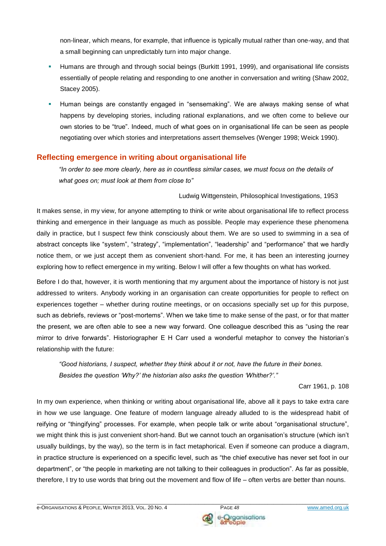non-linear, which means, for example, that influence is typically mutual rather than one-way, and that a small beginning can unpredictably turn into major change.

- Humans are through and through social beings (Burkitt 1991, 1999), and organisational life consists essentially of people relating and responding to one another in conversation and writing (Shaw 2002, Stacey 2005).
- Human beings are constantly engaged in "sensemaking". We are always making sense of what happens by developing stories, including rational explanations, and we often come to believe our own stories to be "true". Indeed, much of what goes on in organisational life can be seen as people negotiating over which stories and interpretations assert themselves (Wenger 1998; Weick 1990).

## **Reflecting emergence in writing about organisational life**

*"In order to see more clearly, here as in countless similar cases, we must focus on the details of what goes on; must look at them from close to"*

## Ludwig Wittgenstein, Philosophical Investigations, 1953

It makes sense, in my view, for anyone attempting to think or write about organisational life to reflect process thinking and emergence in their language as much as possible. People may experience these phenomena daily in practice, but I suspect few think consciously about them. We are so used to swimming in a sea of abstract concepts like "system", "strategy", "implementation", "leadership" and "performance" that we hardly notice them, or we just accept them as convenient short-hand. For me, it has been an interesting journey exploring how to reflect emergence in my writing. Below I will offer a few thoughts on what has worked.

Before I do that, however, it is worth mentioning that my argument about the importance of history is not just addressed to writers. Anybody working in an organisation can create opportunities for people to reflect on experiences together – whether during routine meetings, or on occasions specially set up for this purpose, such as debriefs, reviews or "post-mortems". When we take time to make sense of the past, or for that matter the present, we are often able to see a new way forward. One colleague described this as "using the rear mirror to drive forwards". Historiographer E H Carr used a wonderful metaphor to convey the historian's relationship with the future:

*"Good historians, I suspect, whether they think about it or not, have the future in their bones. Besides the question 'Why?' the historian also asks the question 'Whither?'."* 

Carr 1961, p. 108

In my own experience, when thinking or writing about organisational life, above all it pays to take extra care in how we use language. One feature of modern language already alluded to is the widespread habit of reifying or "thingifying" processes. For example, when people talk or write about "organisational structure", we might think this is just convenient short-hand. But we cannot touch an organisation's structure (which isn't usually buildings, by the way), so the term is in fact metaphorical. Even if someone can produce a diagram, in practice structure is experienced on a specific level, such as "the chief executive has never set foot in our department", or "the people in marketing are not talking to their colleagues in production". As far as possible, therefore, I try to use words that bring out the movement and flow of life – often verbs are better than nouns.

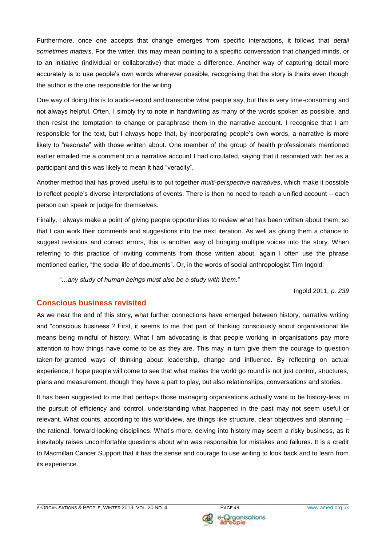Furthermore, once one accepts that change emerges from specific interactions, it follows that *detail sometimes matters*. For the writer, this may mean pointing to a specific conversation that changed minds, or to an initiative (individual or collaborative) that made a difference. Another way of capturing detail more accurately is to use people's own words wherever possible, recognising that the story is theirs even though the author is the one responsible for the writing.

One way of doing this is to audio-record and transcribe what people say, but this is very time-consuming and not always helpful. Often, I simply try to note in handwriting as many of the words spoken as possible, and then resist the temptation to change or paraphrase them in the narrative account. I recognise that I am responsible for the text, but I always hope that, by incorporating people's own words, a narrative is more likely to "resonate" with those written about. One member of the group of health professionals mentioned earlier emailed me a comment on a narrative account I had circulated, saying that it resonated with her as a participant and this was likely to mean it had "veracity".

Another method that has proved useful is to put together *multi-perspective narratives*, which make it possible to reflect people's diverse interpretations of events. There is then no need to reach a unified account – each person can speak or judge for themselves.

Finally, I always make a point of giving people opportunities to review what has been written about them, so that I can work their comments and suggestions into the next iteration. As well as giving them a chance to suggest revisions and correct errors, this is another way of bringing multiple voices into the story. When referring to this practice of inviting comments from those written about, again I often use the phrase mentioned earlier, "the social life of documents". Or, in the words of social anthropologist Tim Ingold:

*"…any study of human beings must also be a study with them."*

Ingold 2011*, p. 239*

## **Conscious business revisited**

As we near the end of this story, what further connections have emerged between history, narrative writing and "conscious business"? First, it seems to me that part of thinking consciously about organisational life means being mindful of history. What I am advocating is that people working in organisations pay more attention to how things have come to be as they are. This may in turn give them the courage to question taken-for-granted ways of thinking about leadership, change and influence. By reflecting on actual experience, I hope people will come to see that what makes the world go round is not just control, structures, plans and measurement, though they have a part to play, but also relationships, conversations and stories.

It has been suggested to me that perhaps those managing organisations actually want to be history-less; in the pursuit of efficiency and control, understanding what happened in the past may not seem useful or relevant. What counts, according to this worldview, are things like structure, clear objectives and planning – the rational, forward-looking disciplines. What's more, delving into history may seem a risky business, as it inevitably raises uncomfortable questions about who was responsible for mistakes and failures. It is a credit to Macmillan Cancer Support that it has the sense and courage to use writing to look back and to learn from its experience.

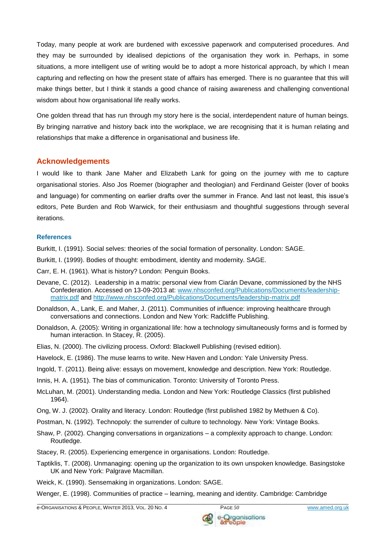Today, many people at work are burdened with excessive paperwork and computerised procedures. And they may be surrounded by idealised depictions of the organisation they work in. Perhaps, in some situations, a more intelligent use of writing would be to adopt a more historical approach, by which I mean capturing and reflecting on how the present state of affairs has emerged. There is no guarantee that this will make things better, but I think it stands a good chance of raising awareness and challenging conventional wisdom about how organisational life really works.

One golden thread that has run through my story here is the social, interdependent nature of human beings. By bringing narrative and history back into the workplace, we are recognising that it is human relating and relationships that make a difference in organisational and business life.

## **Acknowledgements**

I would like to thank Jane Maher and Elizabeth Lank for going on the journey with me to capture organisational stories. Also Jos Roemer (biographer and theologian) and Ferdinand Geister (lover of books and language) for commenting on earlier drafts over the summer in France. And last not least, this issue's editors, Pete Burden and Rob Warwick, for their enthusiasm and thoughtful suggestions through several iterations.

#### **References**

Burkitt, I. (1991). Social selves: theories of the social formation of personality. London: SAGE.

Burkitt, I. (1999). Bodies of thought: embodiment, identity and modernity. SAGE.

- Carr, E. H. (1961). What is history? London: Penguin Books.
- Devane, C. (2012). Leadership in a matrix: personal view from Ciarán Devane, commissioned by the NHS Confederation. Accessed on 13-09-2013 at: [www.nhsconfed.org/Publications/Documents/leadership](http://www.nhsconfed.org/Publications/Documents/leadership-matrix.pdf)[matrix.pdf](http://www.nhsconfed.org/Publications/Documents/leadership-matrix.pdf) and<http://www.nhsconfed.org/Publications/Documents/leadership-matrix.pdf>
- Donaldson, A., Lank, E. and Maher, J. (2011). Communities of influence: improving healthcare through conversations and connections. London and New York: Radcliffe Publishing.
- Donaldson, A. (2005): Writing in organizational life: how a technology simultaneously forms and is formed by human interaction. In Stacey, R. (2005).
- Elias, N. (2000). The civilizing process. Oxford: Blackwell Publishing (revised edition).
- Havelock, E. (1986). The muse learns to write. New Haven and London: Yale University Press.
- Ingold, T. (2011). Being alive: essays on movement, knowledge and description. New York: Routledge.
- Innis, H. A. (1951). The bias of communication. Toronto: University of Toronto Press.
- McLuhan, M. (2001). Understanding media. London and New York: Routledge Classics (first published 1964).
- Ong, W. J. (2002). Orality and literacy. London: Routledge (first published 1982 by Methuen & Co).
- Postman, N. (1992). Technopoly: the surrender of culture to technology. New York: Vintage Books.
- Shaw, P. (2002). Changing conversations in organizations a complexity approach to change. London: Routledge.
- Stacey, R. (2005). Experiencing emergence in organisations. London: Routledge.
- Taptiklis, T. (2008). Unmanaging: opening up the organization to its own unspoken knowledge. Basingstoke UK and New York: Palgrave Macmillan.

\_\_\_\_\_\_\_\_\_\_\_\_\_\_\_\_\_\_\_\_\_\_\_\_\_\_\_\_\_\_\_\_\_\_\_\_\_\_\_\_\_\_\_\_\_\_\_\_\_\_\_\_\_\_\_\_\_\_\_\_\_\_\_\_\_\_\_\_\_\_\_\_\_\_\_\_\_\_\_\_\_\_\_\_\_\_\_\_\_\_\_\_\_\_\_\_\_\_\_\_\_\_\_\_\_\_\_\_

- Weick, K. (1990). Sensemaking in organizations. London: SAGE.
- Wenger, E. (1998). Communities of practice learning, meaning and identity. Cambridge: Cambridge